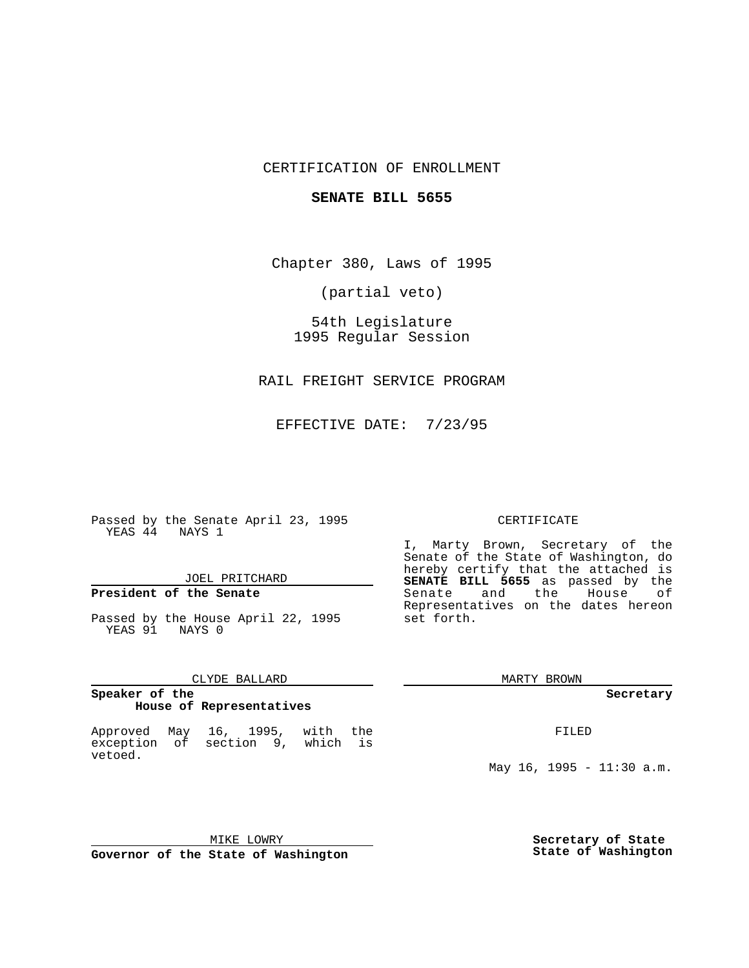# CERTIFICATION OF ENROLLMENT

### **SENATE BILL 5655**

Chapter 380, Laws of 1995

(partial veto)

54th Legislature 1995 Regular Session

RAIL FREIGHT SERVICE PROGRAM

EFFECTIVE DATE: 7/23/95

Passed by the Senate April 23, 1995 YEAS 44 NAYS 1

## JOEL PRITCHARD

# **President of the Senate**

Passed by the House April 22, 1995 YEAS 91 NAYS 0

### CLYDE BALLARD

### **Speaker of the House of Representatives**

Approved May 16, 1995, with the exception of section 9, which is vetoed.

#### CERTIFICATE

I, Marty Brown, Secretary of the Senate of the State of Washington, do hereby certify that the attached is **SENATE BILL 5655** as passed by the Senate and the House of Representatives on the dates hereon set forth.

MARTY BROWN

**Secretary**

FILED

May 16, 1995 - 11:30 a.m.

MIKE LOWRY **Governor of the State of Washington** **Secretary of State State of Washington**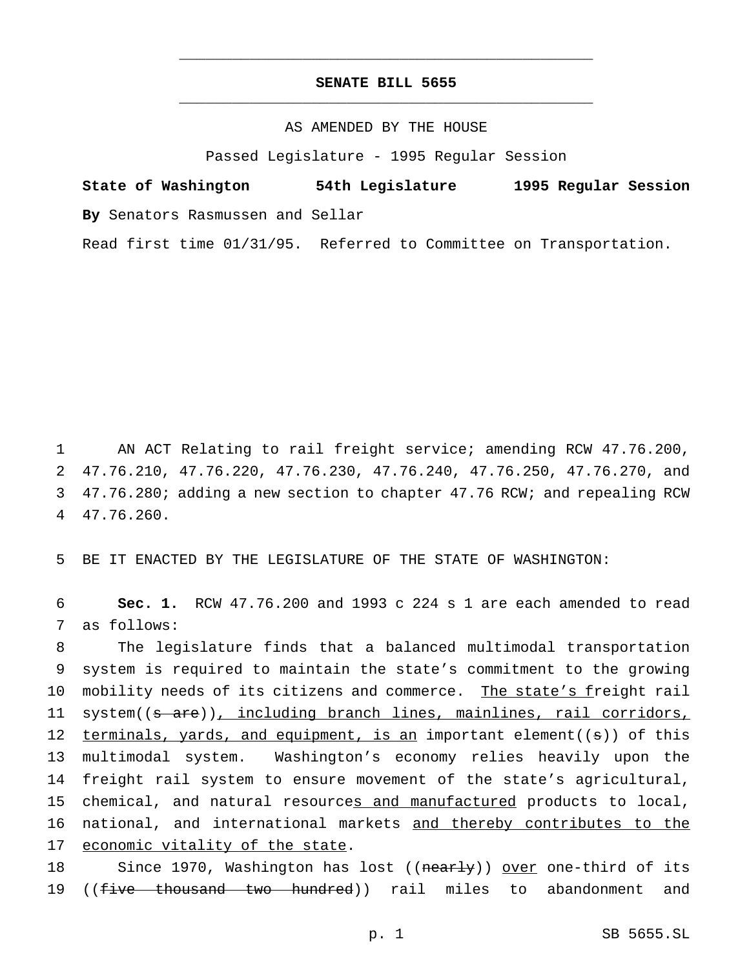# **SENATE BILL 5655** \_\_\_\_\_\_\_\_\_\_\_\_\_\_\_\_\_\_\_\_\_\_\_\_\_\_\_\_\_\_\_\_\_\_\_\_\_\_\_\_\_\_\_\_\_\_\_

\_\_\_\_\_\_\_\_\_\_\_\_\_\_\_\_\_\_\_\_\_\_\_\_\_\_\_\_\_\_\_\_\_\_\_\_\_\_\_\_\_\_\_\_\_\_\_

### AS AMENDED BY THE HOUSE

Passed Legislature - 1995 Regular Session

**State of Washington 54th Legislature 1995 Regular Session By** Senators Rasmussen and Sellar

Read first time 01/31/95. Referred to Committee on Transportation.

 AN ACT Relating to rail freight service; amending RCW 47.76.200, 47.76.210, 47.76.220, 47.76.230, 47.76.240, 47.76.250, 47.76.270, and 47.76.280; adding a new section to chapter 47.76 RCW; and repealing RCW 47.76.260.

5 BE IT ENACTED BY THE LEGISLATURE OF THE STATE OF WASHINGTON:

6 **Sec. 1.** RCW 47.76.200 and 1993 c 224 s 1 are each amended to read 7 as follows:

8 The legislature finds that a balanced multimodal transportation 9 system is required to maintain the state's commitment to the growing 10 mobility needs of its citizens and commerce. The state's freight rail 11 system((s are)), including branch lines, mainlines, rail corridors, 12 terminals, yards, and equipment, is an important element( $(s)$ ) of this 13 multimodal system. Washington's economy relies heavily upon the 14 freight rail system to ensure movement of the state's agricultural, 15 chemical, and natural resources and manufactured products to local, 16 national, and international markets and thereby contributes to the 17 economic vitality of the state.

18 Since 1970, Washington has lost ((nearly)) over one-third of its 19 ((five thousand two hundred)) rail miles to abandonment and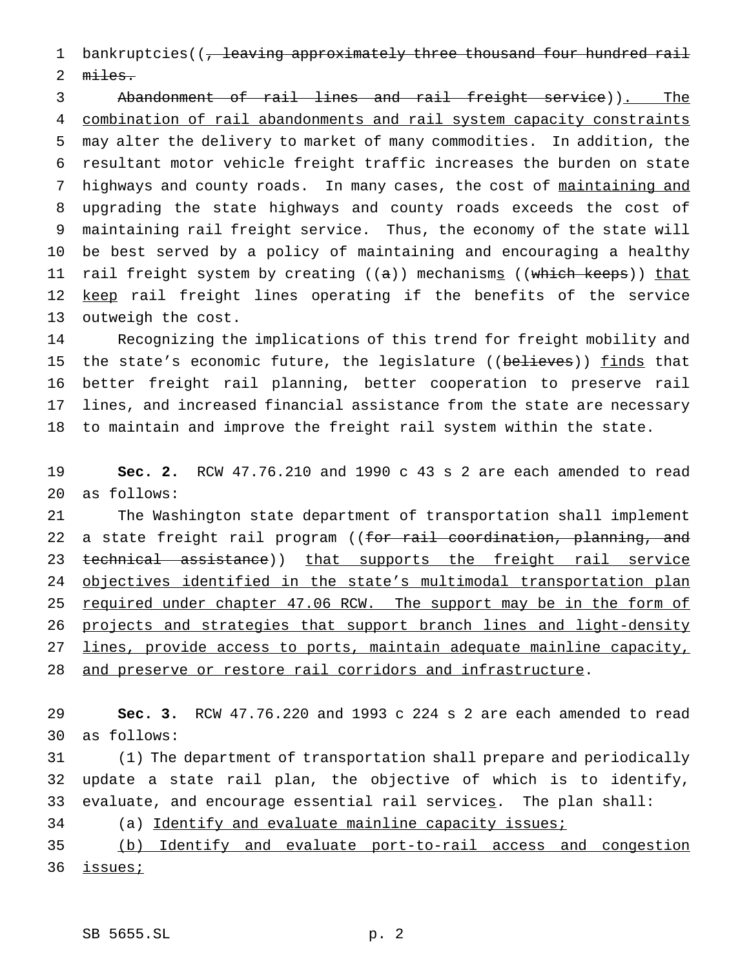1 bankruptcies((, leaving approximately three thousand four hundred rail miles.

 Abandonment of rail lines and rail freight service)). The combination of rail abandonments and rail system capacity constraints may alter the delivery to market of many commodities. In addition, the resultant motor vehicle freight traffic increases the burden on state 7 highways and county roads. In many cases, the cost of maintaining and upgrading the state highways and county roads exceeds the cost of maintaining rail freight service. Thus, the economy of the state will be best served by a policy of maintaining and encouraging a healthy 11 rail freight system by creating ((a)) mechanism<u>s</u> ((which keeps)) that 12 keep rail freight lines operating if the benefits of the service outweigh the cost.

 Recognizing the implications of this trend for freight mobility and 15 the state's economic future, the legislature ((believes)) finds that better freight rail planning, better cooperation to preserve rail lines, and increased financial assistance from the state are necessary to maintain and improve the freight rail system within the state.

 **Sec. 2.** RCW 47.76.210 and 1990 c 43 s 2 are each amended to read as follows:

 The Washington state department of transportation shall implement 22 a state freight rail program ((for rail coordination, planning, and 23 technical assistance)) that supports the freight rail service 24 objectives identified in the state's multimodal transportation plan 25 required under chapter 47.06 RCW. The support may be in the form of projects and strategies that support branch lines and light-density lines, provide access to ports, maintain adequate mainline capacity, 28 and preserve or restore rail corridors and infrastructure.

 **Sec. 3.** RCW 47.76.220 and 1993 c 224 s 2 are each amended to read as follows:

 (1) The department of transportation shall prepare and periodically update a state rail plan, the objective of which is to identify, 33 evaluate, and encourage essential rail services. The plan shall:

(a) Identify and evaluate mainline capacity issues;

 (b) Identify and evaluate port-to-rail access and congestion 36 issues;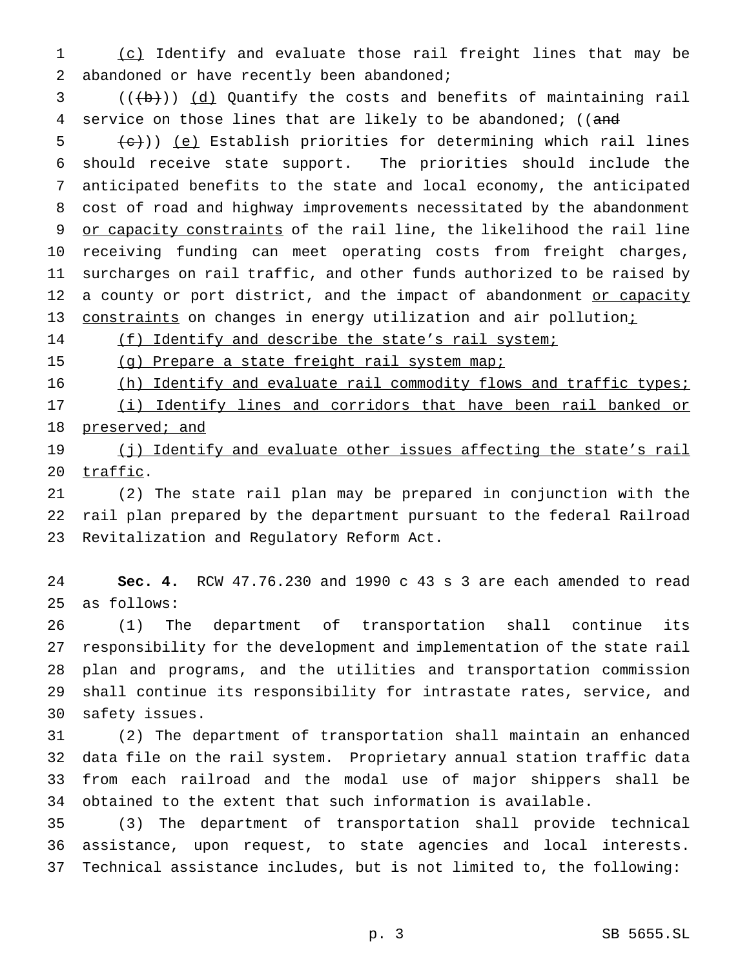1 (c) Identify and evaluate those rail freight lines that may be 2 abandoned or have recently been abandoned;

  $((\theta))^2$   $(d)$  Quantify the costs and benefits of maintaining rail 4 service on those lines that are likely to be abandoned; ((and

 $(6)$  (e) Establish priorities for determining which rail lines should receive state support. The priorities should include the anticipated benefits to the state and local economy, the anticipated cost of road and highway improvements necessitated by the abandonment or capacity constraints of the rail line, the likelihood the rail line receiving funding can meet operating costs from freight charges, surcharges on rail traffic, and other funds authorized to be raised by 12 a county or port district, and the impact of abandonment or capacity 13 constraints on changes in energy utilization and air pollution;

14 (f) Identify and describe the state's rail system;

(g) Prepare a state freight rail system map;

16 (h) Identify and evaluate rail commodity flows and traffic types;

 (i) Identify lines and corridors that have been rail banked or 18 preserved; and

19 (j) Identify and evaluate other issues affecting the state's rail 20 traffic.

 (2) The state rail plan may be prepared in conjunction with the rail plan prepared by the department pursuant to the federal Railroad Revitalization and Regulatory Reform Act.

 **Sec. 4.** RCW 47.76.230 and 1990 c 43 s 3 are each amended to read as follows:

 (1) The department of transportation shall continue its responsibility for the development and implementation of the state rail plan and programs, and the utilities and transportation commission shall continue its responsibility for intrastate rates, service, and safety issues.

 (2) The department of transportation shall maintain an enhanced data file on the rail system. Proprietary annual station traffic data from each railroad and the modal use of major shippers shall be obtained to the extent that such information is available.

 (3) The department of transportation shall provide technical assistance, upon request, to state agencies and local interests. Technical assistance includes, but is not limited to, the following: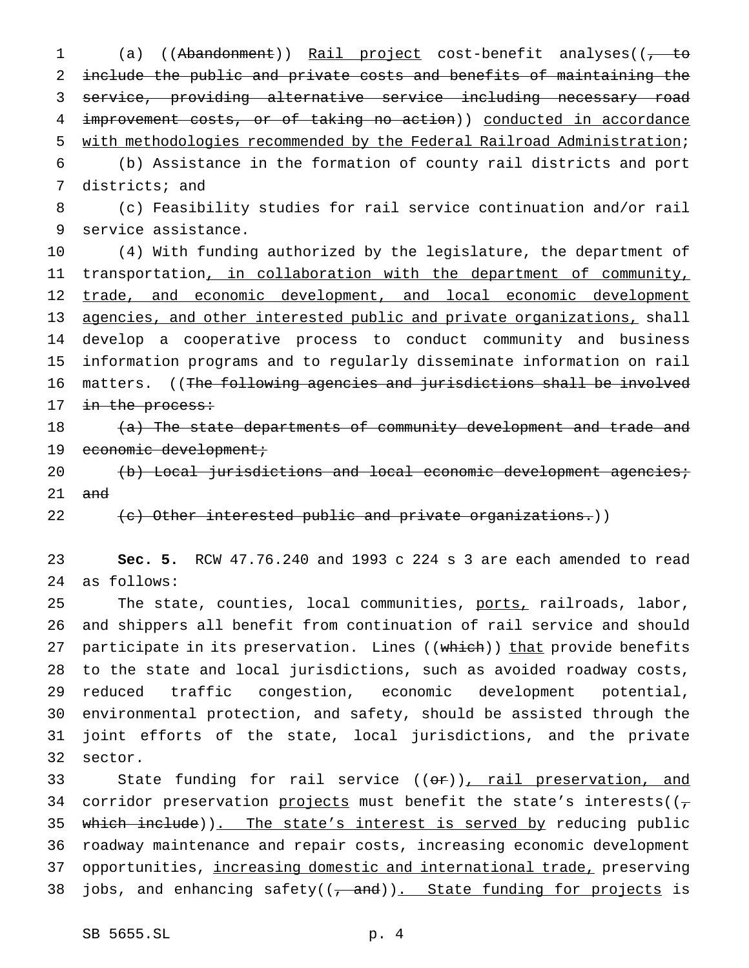1 (a) ((Abandonment)) Rail project cost-benefit analyses(( $\frac{1}{100}$  include the public and private costs and benefits of maintaining the service, providing alternative service including necessary road 4 improvement costs, or of taking no action)) conducted in accordance with methodologies recommended by the Federal Railroad Administration;

 (b) Assistance in the formation of county rail districts and port districts; and

 (c) Feasibility studies for rail service continuation and/or rail service assistance.

 (4) With funding authorized by the legislature, the department of transportation, in collaboration with the department of community, 12 trade, and economic development, and local economic development agencies, and other interested public and private organizations, shall develop a cooperative process to conduct community and business information programs and to regularly disseminate information on rail matters. ((The following agencies and jurisdictions shall be involved 17 in the process:

18 (a) The state departments of community development and trade and 19 economic development;

20 (b) Local jurisdictions and local economic development agencies; and

 $\left(\mathrm{e}\right)$  Other interested public and private organizations.))

 **Sec. 5.** RCW 47.76.240 and 1993 c 224 s 3 are each amended to read as follows:

25 The state, counties, local communities, ports, railroads, labor, and shippers all benefit from continuation of rail service and should 27 participate in its preservation. Lines ((which)) that provide benefits to the state and local jurisdictions, such as avoided roadway costs, reduced traffic congestion, economic development potential, environmental protection, and safety, should be assisted through the joint efforts of the state, local jurisdictions, and the private sector.

33 State funding for rail service ((or)), rail preservation, and 34 corridor preservation projects must benefit the state's interests( $(\tau$ 35 which include)). The state's interest is served by reducing public roadway maintenance and repair costs, increasing economic development 37 opportunities, increasing domestic and international trade, preserving 38 jobs, and enhancing safety( $(\tau$  and)). State funding for projects is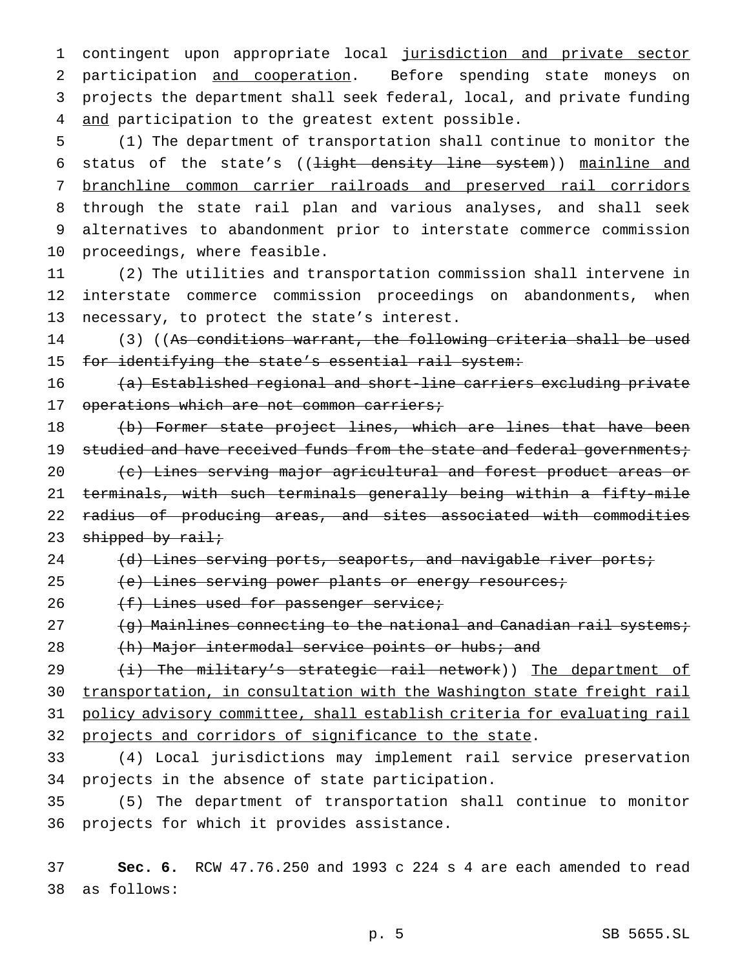contingent upon appropriate local jurisdiction and private sector participation and cooperation. Before spending state moneys on projects the department shall seek federal, local, and private funding 4 and participation to the greatest extent possible.

 (1) The department of transportation shall continue to monitor the 6 status of the state's ((<del>light density line system</del>)) mainline and branchline common carrier railroads and preserved rail corridors through the state rail plan and various analyses, and shall seek alternatives to abandonment prior to interstate commerce commission proceedings, where feasible.

 (2) The utilities and transportation commission shall intervene in interstate commerce commission proceedings on abandonments, when necessary, to protect the state's interest.

 (3) ((As conditions warrant, the following criteria shall be used 15 for identifying the state's essential rail system:

 (a) Established regional and short-line carriers excluding private 17 operations which are not common carriers;

18 (b) Former state project lines, which are lines that have been 19 studied and have received funds from the state and federal governments; (c) Lines serving major agricultural and forest product areas or terminals, with such terminals generally being within a fifty-mile radius of producing areas, and sites associated with commodities 23 shipped by rail;

24 (d) Lines serving ports, seaports, and navigable river ports;

25 (e) Lines serving power plants or energy resources;

26 (f) Lines used for passenger service;

 $\left(9\right)$  Mainlines connecting to the national and Canadian rail systems;

28 (h) Major intermodal service points or hubs; and

29 (i) The military's strategic rail network)) The department of transportation, in consultation with the Washington state freight rail policy advisory committee, shall establish criteria for evaluating rail projects and corridors of significance to the state.

 (4) Local jurisdictions may implement rail service preservation projects in the absence of state participation.

 (5) The department of transportation shall continue to monitor projects for which it provides assistance.

 **Sec. 6.** RCW 47.76.250 and 1993 c 224 s 4 are each amended to read as follows: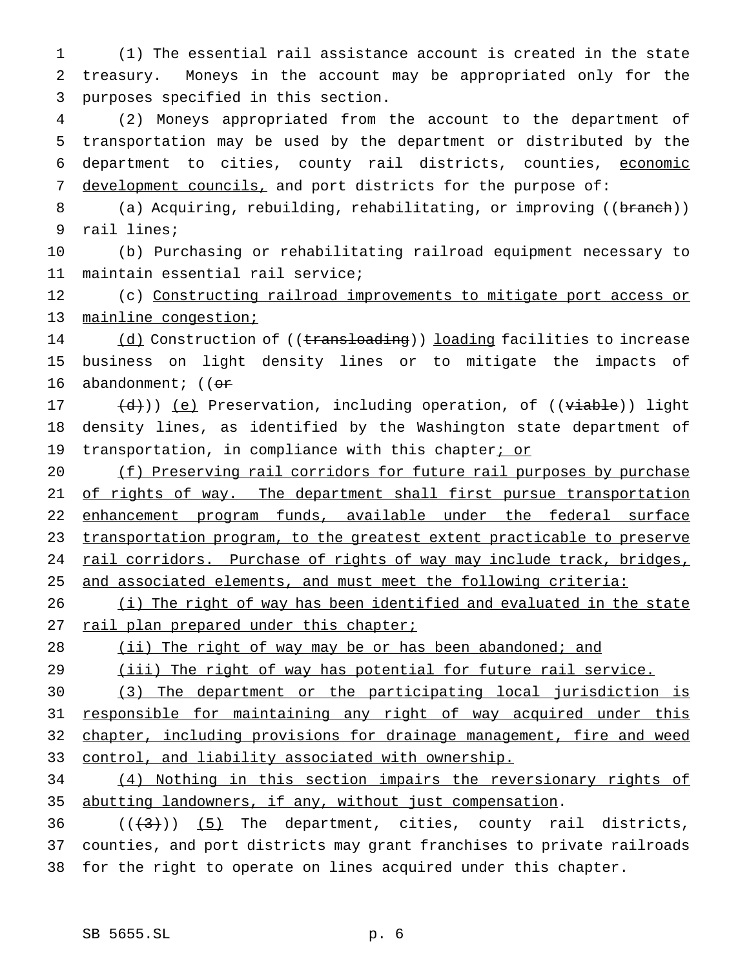1 (1) The essential rail assistance account is created in the state 2 treasury. Moneys in the account may be appropriated only for the 3 purposes specified in this section.

 (2) Moneys appropriated from the account to the department of transportation may be used by the department or distributed by the department to cities, county rail districts, counties, economic 7 development councils, and port districts for the purpose of:

8 (a) Acquiring, rebuilding, rehabilitating, or improving ((branch)) 9 rail lines;

10 (b) Purchasing or rehabilitating railroad equipment necessary to 11 maintain essential rail service;

12 (c) Constructing railroad improvements to mitigate port access or 13 mainline congestion;

14 (d) Construction of ((transloading)) loading facilities to increase 15 business on light density lines or to mitigate the impacts of 16 abandonment;  $(6r$ 

17  $(d)$ )) (e) Preservation, including operation, of ((viable)) light 18 density lines, as identified by the Washington state department of 19 transportation, in compliance with this chapter; or

20 (f) Preserving rail corridors for future rail purposes by purchase 21 of rights of way. The department shall first pursue transportation 22 enhancement program funds, available under the federal surface 23 transportation program, to the greatest extent practicable to preserve 24 rail corridors. Purchase of rights of way may include track, bridges, 25 and associated elements, and must meet the following criteria:

26 (i) The right of way has been identified and evaluated in the state 27 rail plan prepared under this chapter;

# 28 (ii) The right of way may be or has been abandoned; and

29 (iii) The right of way has potential for future rail service.

30 (3) The department or the participating local jurisdiction is 31 responsible for maintaining any right of way acquired under this 32 chapter, including provisions for drainage management, fire and weed 33 control, and liability associated with ownership.

34 (4) Nothing in this section impairs the reversionary rights of 35 abutting landowners, if any, without just compensation.

36  $((+3))$   $(5)$  The department, cities, county rail districts, 37 counties, and port districts may grant franchises to private railroads 38 for the right to operate on lines acquired under this chapter.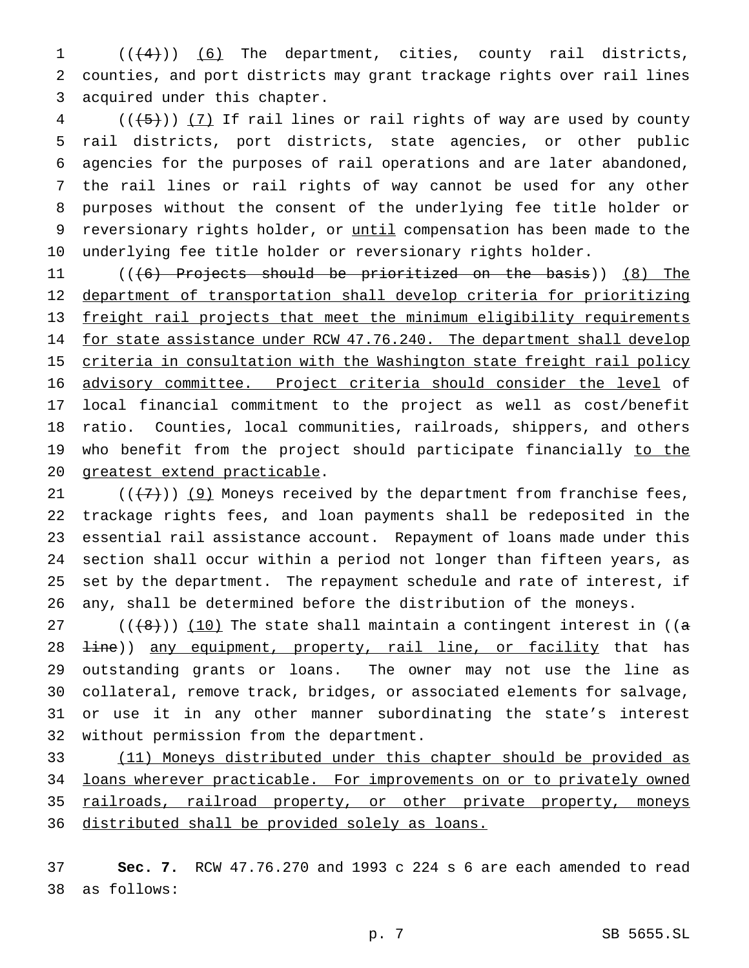$((+4))$   $(6)$  The department, cities, county rail districts, counties, and port districts may grant trackage rights over rail lines acquired under this chapter.

 (( $\overline{(+5)}$ )) (7) If rail lines or rail rights of way are used by county rail districts, port districts, state agencies, or other public agencies for the purposes of rail operations and are later abandoned, the rail lines or rail rights of way cannot be used for any other purposes without the consent of the underlying fee title holder or 9 reversionary rights holder, or until compensation has been made to the underlying fee title holder or reversionary rights holder.

 (((6) Projects should be prioritized on the basis)) (8) The department of transportation shall develop criteria for prioritizing freight rail projects that meet the minimum eligibility requirements 14 for state assistance under RCW 47.76.240. The department shall develop 15 criteria in consultation with the Washington state freight rail policy advisory committee. Project criteria should consider the level of local financial commitment to the project as well as cost/benefit ratio. Counties, local communities, railroads, shippers, and others 19 who benefit from the project should participate financially to the greatest extend practicable.

21 ( $(\frac{7}{7})$ ) (9) Moneys received by the department from franchise fees, trackage rights fees, and loan payments shall be redeposited in the essential rail assistance account. Repayment of loans made under this section shall occur within a period not longer than fifteen years, as set by the department. The repayment schedule and rate of interest, if any, shall be determined before the distribution of the moneys.

27 ( $(\{8\})$ ) (10) The state shall maintain a contingent interest in ( $(\alpha$ 28 <del>line</del>)) any equipment, property, rail line, or facility that has outstanding grants or loans. The owner may not use the line as collateral, remove track, bridges, or associated elements for salvage, or use it in any other manner subordinating the state's interest without permission from the department.

 (11) Moneys distributed under this chapter should be provided as loans wherever practicable. For improvements on or to privately owned railroads, railroad property, or other private property, moneys 36 distributed shall be provided solely as loans.

 **Sec. 7.** RCW 47.76.270 and 1993 c 224 s 6 are each amended to read as follows: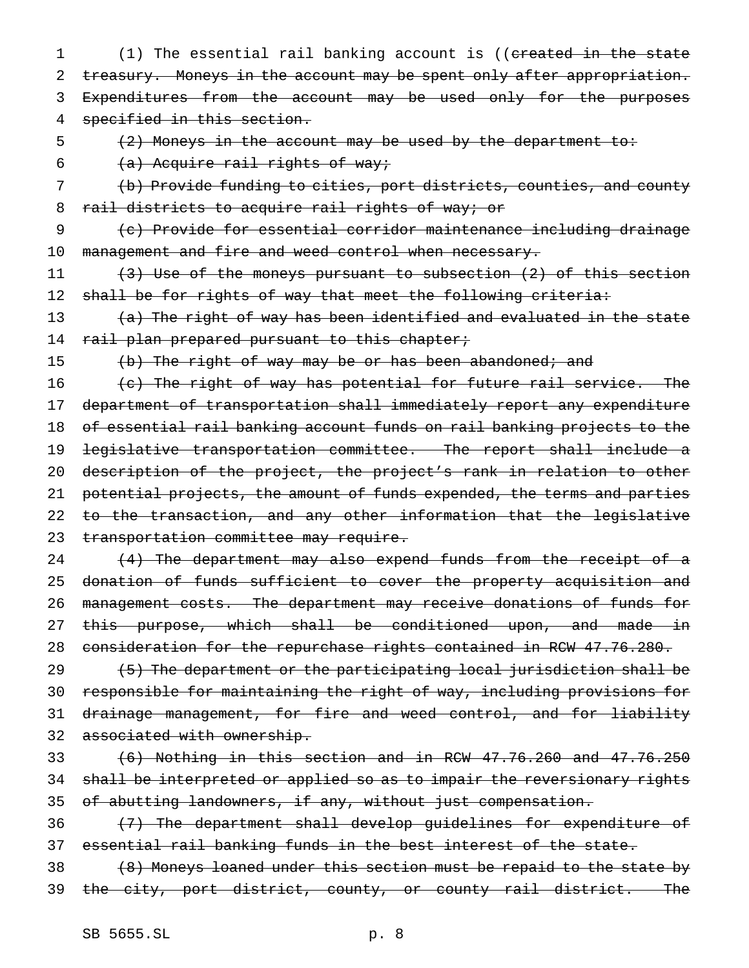1 (1) The essential rail banking account is ((created in the state 2 treasury. Moneys in the account may be spent only after appropriation. 3 Expenditures from the account may be used only for the purposes 4 specified in this section.

5 (2) Moneys in the account may be used by the department to:

6  $(a)$  Acquire rail rights of way;

7 (b) Provide funding to cities, port districts, counties, and county 8 rail districts to acquire rail rights of way; or

9 (c) Provide for essential corridor maintenance including drainage 10 management and fire and weed control when necessary.

11 (3) Use of the moneys pursuant to subsection (2) of this section 12 shall be for rights of way that meet the following criteria:

13 (a) The right of way has been identified and evaluated in the state 14 rail plan prepared pursuant to this chapter;

15 (b) The right of way may be or has been abandoned; and

16 (c) The right of way has potential for future rail service. The department of transportation shall immediately report any expenditure of essential rail banking account funds on rail banking projects to the legislative transportation committee. The report shall include a description of the project, the project's rank in relation to other potential projects, the amount of funds expended, the terms and parties 22 to the transaction, and any other information that the legislative 23 transportation committee may require.

24 (4) The department may also expend funds from the receipt of a 25 donation of funds sufficient to cover the property acquisition and 26 management costs. The department may receive donations of funds for 27 this purpose, which shall be conditioned upon, and made in 28 consideration for the repurchase rights contained in RCW 47.76.280.

 (5) The department or the participating local jurisdiction shall be responsible for maintaining the right of way, including provisions for 31 drainage management, for fire and weed control, and for liability associated with ownership.

33  $(6)$  Nothing in this section and in RCW  $47.76.260$  and  $47.76.250$ 34 shall be interpreted or applied so as to impair the reversionary rights 35 of abutting landowners, if any, without just compensation.

36 (7) The department shall develop guidelines for expenditure of 37 essential rail banking funds in the best interest of the state.

38 (8) Moneys loaned under this section must be repaid to the state by 39 the city, port district, county, or county rail district. The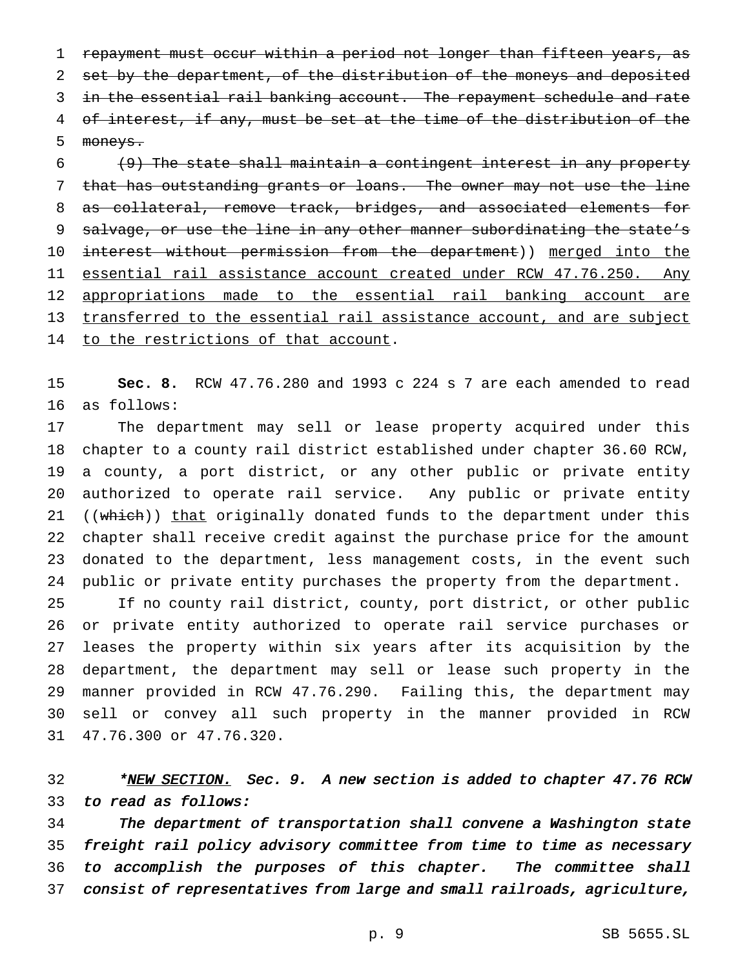repayment must occur within a period not longer than fifteen years, as 2 set by the department, of the distribution of the moneys and deposited in the essential rail banking account. The repayment schedule and rate 4 of interest, if any, must be set at the time of the distribution of the moneys.

 (9) The state shall maintain a contingent interest in any property that has outstanding grants or loans. The owner may not use the line as collateral, remove track, bridges, and associated elements for 9 salvage, or use the line in any other manner subordinating the state's 10 interest without permission from the department)) merged into the essential rail assistance account created under RCW 47.76.250. Any 12 appropriations made to the essential rail banking account are transferred to the essential rail assistance account, and are subject 14 to the restrictions of that account.

 **Sec. 8.** RCW 47.76.280 and 1993 c 224 s 7 are each amended to read as follows:

 The department may sell or lease property acquired under this chapter to a county rail district established under chapter 36.60 RCW, a county, a port district, or any other public or private entity authorized to operate rail service. Any public or private entity 21 ((which)) that originally donated funds to the department under this chapter shall receive credit against the purchase price for the amount donated to the department, less management costs, in the event such public or private entity purchases the property from the department.

 If no county rail district, county, port district, or other public or private entity authorized to operate rail service purchases or leases the property within six years after its acquisition by the department, the department may sell or lease such property in the manner provided in RCW 47.76.290. Failing this, the department may sell or convey all such property in the manner provided in RCW 47.76.300 or 47.76.320.

32 \*<u>NEW SECTION.</u> Sec. 9. A new section is added to chapter 47.76 RCW to read as follows:

 The department of transportation shall convene <sup>a</sup> Washington state freight rail policy advisory committee from time to time as necessary to accomplish the purposes of this chapter. The committee shall consist of representatives from large and small railroads, agriculture,